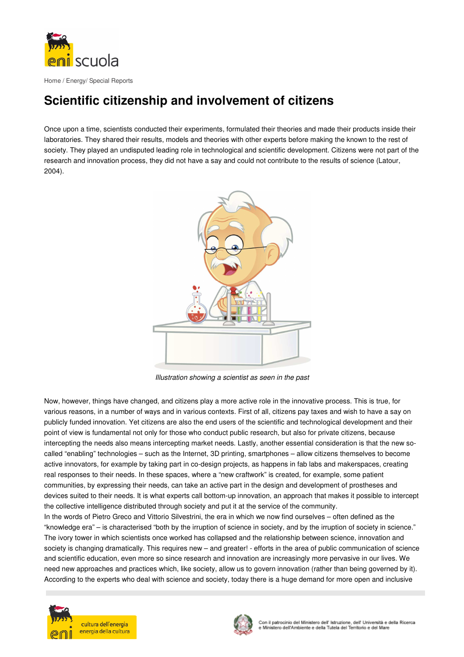

## **Scientific citizenship and involvement of citizens**

Once upon a time, scientists conducted their experiments, formulated their theories and made their products inside their laboratories. They shared their results, models and theories with other experts before making the known to the rest of society. They played an undisputed leading role in technological and scientific development. Citizens were not part of the research and innovation process, they did not have a say and could not contribute to the results of science (Latour, 2004).



Illustration showing a scientist as seen in the past

Now, however, things have changed, and citizens play a more active role in the innovative process. This is true, for various reasons, in a number of ways and in various contexts. First of all, citizens pay taxes and wish to have a say on publicly funded innovation. Yet citizens are also the end users of the scientific and technological development and their point of view is fundamental not only for those who conduct public research, but also for private citizens, because intercepting the needs also means intercepting market needs. Lastly, another essential consideration is that the new socalled "enabling" technologies – such as the Internet, 3D printing, smartphones – allow citizens themselves to become active innovators, for example by taking part in co-design projects, as happens in fab labs and makerspaces, creating real responses to their needs. In these spaces, where a "new craftwork" is created, for example, some patient communities, by expressing their needs, can take an active part in the design and development of prostheses and devices suited to their needs. It is what experts call bottom-up innovation, an approach that makes it possible to intercept the collective intelligence distributed through society and put it at the service of the community.

In the words of Pietro Greco and Vittorio Silvestrini, the era in which we now find ourselves – often defined as the "knowledge era" – is characterised "both by the irruption of science in society, and by the irruption of society in science." The ivory tower in which scientists once worked has collapsed and the relationship between science, innovation and society is changing dramatically. This requires new – and greater! - efforts in the area of public communication of science and scientific education, even more so since research and innovation are increasingly more pervasive in our lives. We need new approaches and practices which, like society, allow us to govern innovation (rather than being governed by it). According to the experts who deal with science and society, today there is a huge demand for more open and inclusive



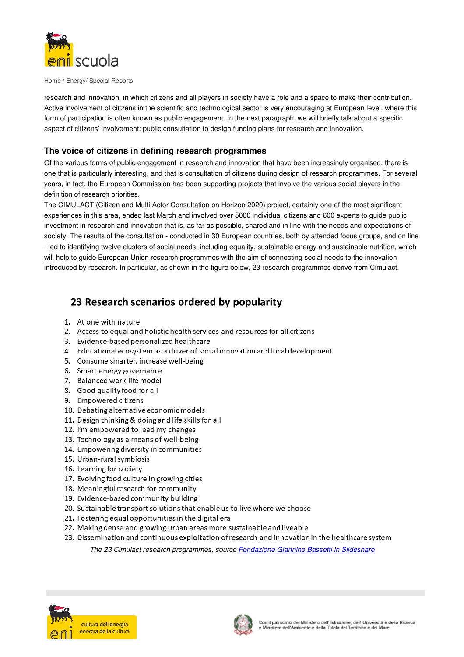

Home / Energy/ Special Reports

research and innovation, in which citizens and all players in society have a role and a space to make their contribution. Active involvement of citizens in the scientific and technological sector is very encouraging at European level, where this form of participation is often known as public engagement. In the next paragraph, we will briefly talk about a specific aspect of citizens' involvement: public consultation to design funding plans for research and innovation.

## The voice of citizens in defining research programmes

Of the various forms of public engagement in research and innovation that have been increasingly organised, there is one that is particularly interesting, and that is consultation of citizens during design of research programmes. For several years, in fact, the European Commission has been supporting projects that involve the various social players in the definition of research priorities.

The CIMULACT (Citizen and Multi Actor Consultation on Horizon 2020) project, certainly one of the most significant experiences in this area, ended last March and involved over 5000 individual citizens and 600 experts to quide public investment in research and innovation that is, as far as possible, shared and in line with the needs and expectations of society. The results of the consultation - conducted in 30 European countries, both by attended focus groups, and on line - led to identifying twelve clusters of social needs, including equality, sustainable energy and sustainable nutrition, which will help to guide European Union research programmes with the aim of connecting social needs to the innovation introduced by research. In particular, as shown in the figure below, 23 research programmes derive from Cimulact.

## 23 Research scenarios ordered by popularity

- 1. At one with nature
- 2. Access to equal and holistic health services and resources for all citizens
- 3. Evidence-based personalized healthcare
- 4. Educational ecosystem as a driver of social innovation and local development
- 5. Consume smarter, increase well-being
- 6. Smart energy governance
- 7. Balanced work-life model
- 8. Good quality food for all
- 9. Empowered citizens
- 10. Debating alternative economic models
- 11. Design thinking & doing and life skills for all
- 12. I'm empowered to lead my changes
- 13. Technology as a means of well-being
- 14. Empowering diversity in communities
- 15. Urban-rural symbiosis
- 16. Learning for society
- 17. Evolving food culture in growing cities
- 18. Meaningful research for community
- 19. Evidence-based community building
- 20. Sustainable transport solutions that enable us to live where we choose
- 21. Fostering equal opportunities in the digital era
- 22. Making dense and growing urban areas more sustainable and liveable
- 23. Dissemination and continuous exploitation of research and innovation in the healthcare system

The 23 Cimulact research programmes, source **Fondazione Giannino Bassetti in Slideshare**